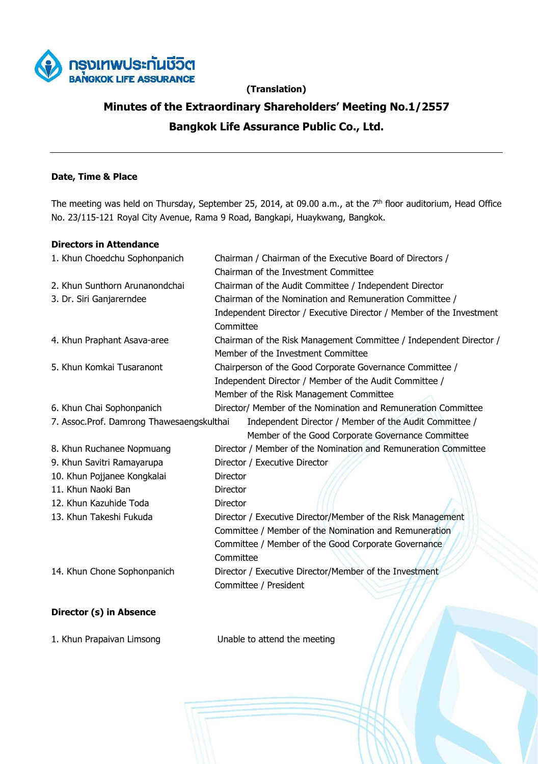

## **(Translation)**

# **Minutes of the Extraordinary Shareholders' Meeting No.1/2557 Bangkok Life Assurance Public Co., Ltd.**

## **Date, Time & Place**

The meeting was held on Thursday, September 25, 2014, at 09.00 a.m., at the 7<sup>th</sup> floor auditorium, Head Office No. 23/115-121 Royal City Avenue, Rama 9 Road, Bangkapi, Huaykwang, Bangkok.

## **Directors in Attendance**

| 1. Khun Choedchu Sophonpanich             | Chairman / Chairman of the Executive Board of Directors /            |  |  |
|-------------------------------------------|----------------------------------------------------------------------|--|--|
|                                           | Chairman of the Investment Committee                                 |  |  |
| 2. Khun Sunthorn Arunanondchai            | Chairman of the Audit Committee / Independent Director               |  |  |
| 3. Dr. Siri Ganjarerndee                  | Chairman of the Nomination and Remuneration Committee /              |  |  |
|                                           | Independent Director / Executive Director / Member of the Investment |  |  |
|                                           | Committee                                                            |  |  |
| 4. Khun Praphant Asava-aree               | Chairman of the Risk Management Committee / Independent Director /   |  |  |
|                                           | Member of the Investment Committee                                   |  |  |
| 5. Khun Komkai Tusaranont                 | Chairperson of the Good Corporate Governance Committee /             |  |  |
|                                           | Independent Director / Member of the Audit Committee /               |  |  |
|                                           | Member of the Risk Management Committee                              |  |  |
| 6. Khun Chai Sophonpanich                 | Director/ Member of the Nomination and Remuneration Committee        |  |  |
| 7. Assoc.Prof. Damrong Thawesaengskulthai | Independent Director / Member of the Audit Committee /               |  |  |
|                                           | Member of the Good Corporate Governance Committee                    |  |  |
| 8. Khun Ruchanee Nopmuang                 | Director / Member of the Nomination and Remuneration Committee       |  |  |
| 9. Khun Savitri Ramayarupa                | Director / Executive Director                                        |  |  |
| 10. Khun Pojjanee Kongkalai               | Director                                                             |  |  |
| 11. Khun Naoki Ban                        | <b>Director</b>                                                      |  |  |
| 12. Khun Kazuhide Toda                    | Director                                                             |  |  |
| 13. Khun Takeshi Fukuda                   | Director / Executive Director/Member of the Risk Management          |  |  |
|                                           | Committee / Member of the Nomination and Remuneration                |  |  |
|                                           | Committee / Member of the Good Corporate Governance                  |  |  |
|                                           | Committee                                                            |  |  |
| 14. Khun Chone Sophonpanich               | Director / Executive Director/Member of the Investment               |  |  |
|                                           | Committee / President                                                |  |  |
|                                           |                                                                      |  |  |
| Director (s) in Absence                   |                                                                      |  |  |

1. Khun Prapaivan Limsong Unable to attend the meeting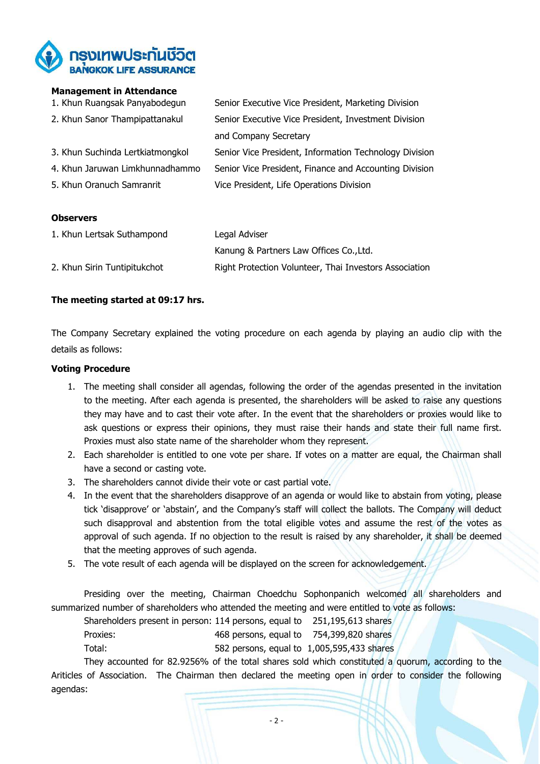

#### **Management in Attendance**

| 1. Khun Ruangsak Panyabodegun    | Senior Executive Vice President, Marketing Division    |
|----------------------------------|--------------------------------------------------------|
| 2. Khun Sanor Thampipattanakul   | Senior Executive Vice President, Investment Division   |
|                                  | and Company Secretary                                  |
| 3. Khun Suchinda Lertkiatmongkol | Senior Vice President, Information Technology Division |
| 4. Khun Jaruwan Limkhunnadhammo  | Senior Vice President, Finance and Accounting Division |
| 5. Khun Oranuch Samranrit        | Vice President, Life Operations Division               |
|                                  |                                                        |

#### **Observers**

| 1. Khun Lertsak Suthampond   | Legal Adviser                                          |  |
|------------------------------|--------------------------------------------------------|--|
|                              | Kanung & Partners Law Offices Co., Ltd.                |  |
| 2. Khun Sirin Tuntipitukchot | Right Protection Volunteer, Thai Investors Association |  |

#### **The meeting started at 09:17 hrs.**

The Company Secretary explained the voting procedure on each agenda by playing an audio clip with the details as follows:

#### **Voting Procedure**

- 1. The meeting shall consider all agendas, following the order of the agendas presented in the invitation to the meeting. After each agenda is presented, the shareholders will be asked to raise any questions they may have and to cast their vote after. In the event that the shareholders or proxies would like to ask questions or express their opinions, they must raise their hands and state their full name first. Proxies must also state name of the shareholder whom they represent.
- 2. Each shareholder is entitled to one vote per share. If votes on a matter are equal, the Chairman shall have a second or casting vote.
- 3. The shareholders cannot divide their vote or cast partial vote.
- 4. In the event that the shareholders disapprove of an agenda or would like to abstain from voting, please tick 'disapprove' or 'abstain', and the Company's staff will collect the ballots. The Company will deduct such disapproval and abstention from the total eligible votes and assume the rest of the votes as approval of such agenda. If no objection to the result is raised by any shareholder, it shall be deemed that the meeting approves of such agenda.
- 5. The vote result of each agenda will be displayed on the screen for acknowledgement.

Presiding over the meeting, Chairman Choedchu Sophonpanich welcomed all shareholders and summarized number of shareholders who attended the meeting and were entitled to vote as follows:

Shareholders present in person: 114 persons, equal to 251,195,613 shares Proxies: 468 persons, equal to 754,399,820 shares

Total: 582 persons, equal to 1,005,595,433 shares

They accounted for 82.9256% of the total shares sold which constituted a quorum, according to the Ariticles of Association. The Chairman then declared the meeting open in order to consider the following agendas: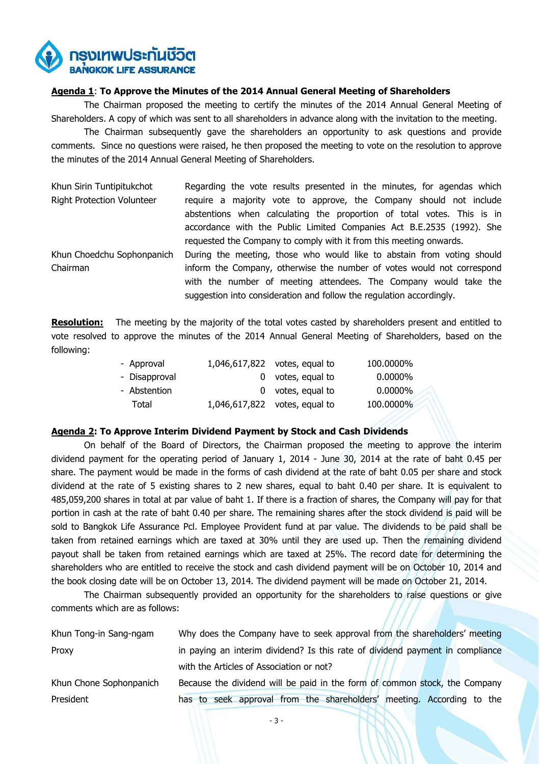ารงเทพประกันชีวิต **BANGKOK LIFE ASSURANCE** 

#### **Agenda 1**: **To Approve the Minutes of the 2014 Annual General Meeting of Shareholders**

The Chairman proposed the meeting to certify the minutes of the 2014 Annual General Meeting of Shareholders. A copy of which was sent to all shareholders in advance along with the invitation to the meeting.

The Chairman subsequently gave the shareholders an opportunity to ask questions and provide comments. Since no questions were raised, he then proposed the meeting to vote on the resolution to approve the minutes of the 2014 Annual General Meeting of Shareholders.

| Khun Sirin Tuntipitukchot         | Regarding the vote results presented in the minutes, for agendas which |  |  |
|-----------------------------------|------------------------------------------------------------------------|--|--|
| <b>Right Protection Volunteer</b> | require a majority vote to approve, the Company should not include     |  |  |
|                                   | abstentions when calculating the proportion of total votes. This is in |  |  |
|                                   | accordance with the Public Limited Companies Act B.E.2535 (1992). She  |  |  |
|                                   | requested the Company to comply with it from this meeting onwards.     |  |  |
| Khun Choedchu Sophonpanich        | During the meeting, those who would like to abstain from voting should |  |  |
| Chairman                          | inform the Company, otherwise the number of votes would not correspond |  |  |
|                                   | with the number of meeting attendees. The Company would take the       |  |  |
|                                   | suggestion into consideration and follow the regulation accordingly.   |  |  |

**Resolution:** The meeting by the majority of the total votes casted by shareholders present and entitled to vote resolved to approve the minutes of the 2014 Annual General Meeting of Shareholders, based on the following:

|  | 100.0000%                                                                                                |
|--|----------------------------------------------------------------------------------------------------------|
|  | $0.0000\%$                                                                                               |
|  | $0.0000\%$                                                                                               |
|  | 100.0000%                                                                                                |
|  | 1,046,617,822 votes, equal to<br>0 votes, equal to<br>0 votes, equal to<br>1,046,617,822 votes, equal to |

#### **Agenda 2: To Approve Interim Dividend Payment by Stock and Cash Dividends**

 On behalf of the Board of Directors, the Chairman proposed the meeting to approve the interim dividend payment for the operating period of January 1, 2014 - June 30, 2014 at the rate of baht 0.45 per share. The payment would be made in the forms of cash dividend at the rate of baht 0.05 per share and stock dividend at the rate of 5 existing shares to 2 new shares, equal to baht 0.40 per share. It is equivalent to 485,059,200 shares in total at par value of baht 1. If there is a fraction of shares, the Company will pay for that portion in cash at the rate of baht 0.40 per share. The remaining shares after the stock dividend is paid will be sold to Bangkok Life Assurance Pcl. Employee Provident fund at par value. The dividends to be paid shall be taken from retained earnings which are taxed at 30% until they are used up. Then the remaining dividend payout shall be taken from retained earnings which are taxed at 25%. The record date for determining the shareholders who are entitled to receive the stock and cash dividend payment will be on October 10, 2014 and the book closing date will be on October 13, 2014. The dividend payment will be made on October 21, 2014.

The Chairman subsequently provided an opportunity for the shareholders to raise questions or give comments which are as follows:

| Khun Tong-in Sang-ngam  | Why does the Company have to seek approval from the shareholders' meeting     |
|-------------------------|-------------------------------------------------------------------------------|
| Proxy                   | in paying an interim dividend? Is this rate of dividend payment in compliance |
|                         | with the Articles of Association or not?                                      |
| Khun Chone Sophonpanich | Because the dividend will be paid in the form of common stock, the Company    |
| President               | has to seek approval from the shareholders' meeting. According to the         |

- 3 -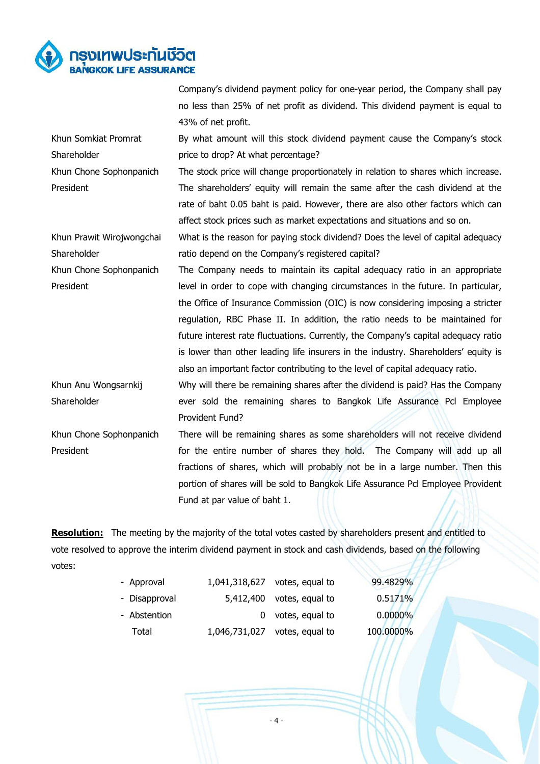

Company's dividend payment policy for one-year period, the Company shall pay no less than 25% of net profit as dividend. This dividend payment is equal to 43% of net profit.

By what amount will this stock dividend payment cause the Company's stock price to drop? At what percentage?

The stock price will change proportionately in relation to shares which increase. The shareholders' equity will remain the same after the cash dividend at the rate of baht 0.05 baht is paid. However, there are also other factors which can affect stock prices such as market expectations and situations and so on.

Khun Prawit Wirojwongchai Shareholder What is the reason for paying stock dividend? Does the level of capital adequacy ratio depend on the Company's registered capital?

Khun Chone Sophonpanich President The Company needs to maintain its capital adequacy ratio in an appropriate level in order to cope with changing circumstances in the future. In particular, the Office of Insurance Commission (OIC) is now considering imposing a stricter regulation, RBC Phase II. In addition, the ratio needs to be maintained for future interest rate fluctuations. Currently, the Company's capital adequacy ratio is lower than other leading life insurers in the industry. Shareholders' equity is also an important factor contributing to the level of capital adequacy ratio.

Khun Anu Wongsarnkij Shareholder Why will there be remaining shares after the dividend is paid? Has the Company ever sold the remaining shares to Bangkok Life Assurance Pcl Employee Provident Fund?

Khun Chone Sophonpanich President There will be remaining shares as some shareholders will not receive dividend for the entire number of shares they hold. The Company will add up all fractions of shares, which will probably not be in a large number. Then this portion of shares will be sold to Bangkok Life Assurance Pcl Employee Provident Fund at par value of baht 1.

**Resolution:** The meeting by the majority of the total votes casted by shareholders present and entitled to vote resolved to approve the interim dividend payment in stock and cash dividends, based on the following votes:

| - Approval    | 1,041,318,627 votes, equal to | 99.4829%   |
|---------------|-------------------------------|------------|
| - Disapproval | 5,412,400 votes, equal to     | 0.5171%    |
| - Abstention  | 0 votes, equal to             | $0.0000\%$ |
| Total         | 1,046,731,027 votes, equal to | 100.0000%  |

Khun Somkiat Promrat **Shareholder** Khun Chone Sophonpanich President

- 4 -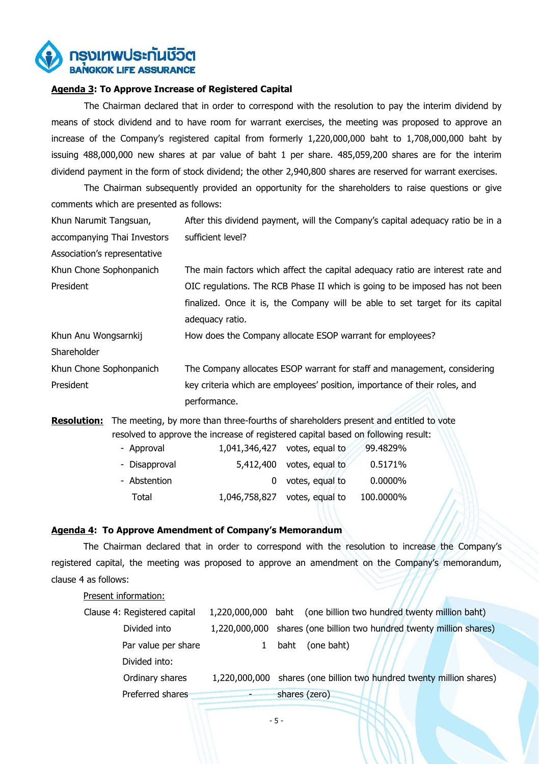

#### **Agenda 3: To Approve Increase of Registered Capital**

The Chairman declared that in order to correspond with the resolution to pay the interim dividend by means of stock dividend and to have room for warrant exercises, the meeting was proposed to approve an increase of the Company's registered capital from formerly 1,220,000,000 baht to 1,708,000,000 baht by issuing 488,000,000 new shares at par value of baht 1 per share. 485,059,200 shares are for the interim dividend payment in the form of stock dividend; the other 2,940,800 shares are reserved for warrant exercises.

The Chairman subsequently provided an opportunity for the shareholders to raise questions or give comments which are presented as follows:

| Khun Narumit Tangsuan,       | After this dividend payment, will the Company's capital adequacy ratio be in a |
|------------------------------|--------------------------------------------------------------------------------|
| accompanying Thai Investors  | sufficient level?                                                              |
| Association's representative |                                                                                |
| Khun Chone Sophonpanich      | The main factors which affect the capital adequacy ratio are interest rate and |
| President                    | OIC regulations. The RCB Phase II which is going to be imposed has not been    |
|                              | finalized. Once it is, the Company will be able to set target for its capital  |
|                              | adequacy ratio.                                                                |
| Khun Anu Wongsarnkij         | How does the Company allocate ESOP warrant for employees?                      |
| Shareholder                  |                                                                                |
| Khun Chone Sophonpanich      | The Company allocates ESOP warrant for staff and management, considering       |
| President                    | key criteria which are employees' position, importance of their roles, and     |
|                              | performance.                                                                   |

**Resolution:** The meeting, by more than three-fourths of shareholders present and entitled to vote resolved to approve the increase of registered capital based on following result:

| - Approval    | $1,041,346,427$ votes, equal to | 99.4829%   |  |
|---------------|---------------------------------|------------|--|
| - Disapproval | $5,412,400$ votes, equal to     | 0.5171%    |  |
| - Abstention  | 0 votes, equal to               | $0.0000\%$ |  |
| Total         | 1,046,758,827 votes, equal to   | 100.0000%  |  |

#### **Agenda 4: To Approve Amendment of Company's Memorandum**

 The Chairman declared that in order to correspond with the resolution to increase the Company's registered capital, the meeting was proposed to approve an amendment on the Company's memorandum, clause 4 as follows:

## Present information: Clause 4: Registered capital 1,220,000,000 baht (one billion two hundred twenty million baht) Divided into 1,220,000,000 shares (one billion two hundred twenty million shares) Par value per share 1 baht (one baht) Divided into: Ordinary shares 1,220,000,000 shares (one billion two hundred twenty million shares) Preferred shares **and shares** shares (zero)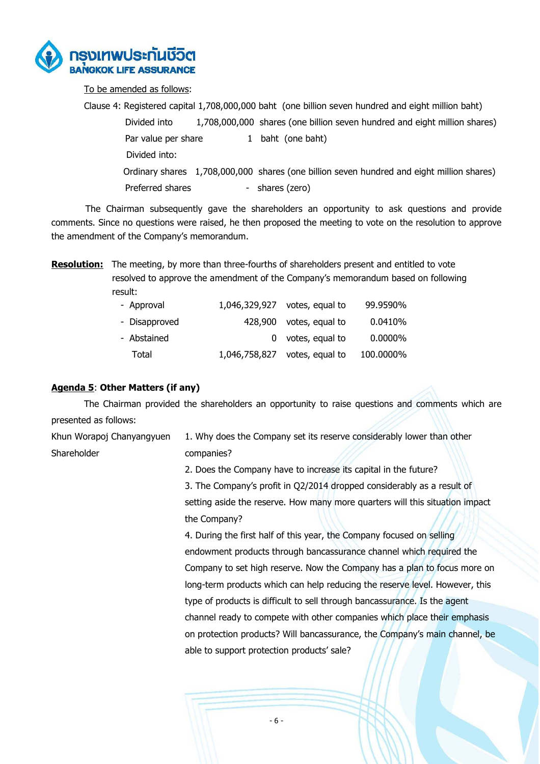

To be amended as follows:

 Clause 4: Registered capital 1,708,000,000 baht (one billion seven hundred and eight million baht) Divided into 1,708,000,000 shares (one billion seven hundred and eight million shares) Par value per share 1 baht (one baht) Divided into: Ordinary shares 1,708,000,000 shares (one billion seven hundred and eight million shares) Preferred shares - shares (zero)

 The Chairman subsequently gave the shareholders an opportunity to ask questions and provide comments. Since no questions were raised, he then proposed the meeting to vote on the resolution to approve the amendment of the Company's memorandum.

**Resolution:** The meeting, by more than three-fourths of shareholders present and entitled to vote resolved to approve the amendment of the Company's memorandum based on following result:

| - Approval    | 1,046,329,927 votes, equal to | 99.9590%   |
|---------------|-------------------------------|------------|
| - Disapproved | 428,900 votes, equal to       | 0.0410%    |
| - Abstained   | 0 votes, equal to             | $0.0000\%$ |
| Total         | 1,046,758,827 votes, equal to | 100.0000%  |

## **Agenda 5**: **Other Matters (if any)**

The Chairman provided the shareholders an opportunity to raise questions and comments which are presented as follows:

Khun Worapoj Chanyangyuen Shareholder 1. Why does the Company set its reserve considerably lower than other companies?

> 2. Does the Company have to increase its capital in the future? 3. The Company's profit in Q2/2014 dropped considerably as a result of setting aside the reserve. How many more quarters will this situation impact the Company?

4. During the first half of this year, the Company focused on selling endowment products through bancassurance channel which required the Company to set high reserve. Now the Company has a plan to focus more on long-term products which can help reducing the reserve level. However, this type of products is difficult to sell through bancassurance. Is the agent channel ready to compete with other companies which place their emphasis on protection products? Will bancassurance, the Company's main channel, be able to support protection products' sale?

- 6 -